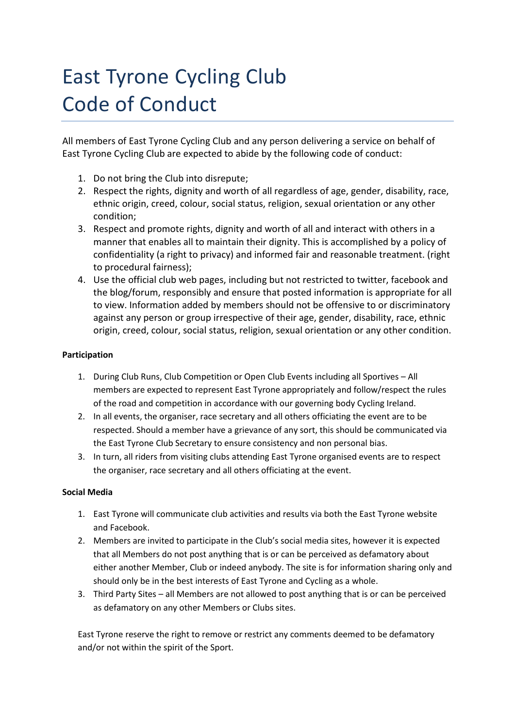## East Tyrone Cycling Club Code of Conduct

All members of East Tyrone Cycling Club and any person delivering a service on behalf of East Tyrone Cycling Club are expected to abide by the following code of conduct:

- 1. Do not bring the Club into disrepute;
- 2. Respect the rights, dignity and worth of all regardless of age, gender, disability, race, ethnic origin, creed, colour, social status, religion, sexual orientation or any other condition;
- 3. Respect and promote rights, dignity and worth of all and interact with others in a manner that enables all to maintain their dignity. This is accomplished by a policy of confidentiality (a right to privacy) and informed fair and reasonable treatment. (right to procedural fairness);
- 4. Use the official club web pages, including but not restricted to twitter, facebook and the blog/forum, responsibly and ensure that posted information is appropriate for all to view. Information added by members should not be offensive to or discriminatory against any person or group irrespective of their age, gender, disability, race, ethnic origin, creed, colour, social status, religion, sexual orientation or any other condition.

## **Participation**

- 1. During Club Runs, Club Competition or Open Club Events including all Sportives All members are expected to represent East Tyrone appropriately and follow/respect the rules of the road and competition in accordance with our governing body Cycling Ireland.
- 2. In all events, the organiser, race secretary and all others officiating the event are to be respected. Should a member have a grievance of any sort, this should be communicated via the East Tyrone Club Secretary to ensure consistency and non personal bias.
- 3. In turn, all riders from visiting clubs attending East Tyrone organised events are to respect the organiser, race secretary and all others officiating at the event.

## **Social Media**

- 1. East Tyrone will communicate club activities and results via both the East Tyrone website and Facebook.
- 2. Members are invited to participate in the Club's social media sites, however it is expected that all Members do not post anything that is or can be perceived as defamatory about either another Member, Club or indeed anybody. The site is for information sharing only and should only be in the best interests of East Tyrone and Cycling as a whole.
- 3. Third Party Sites all Members are not allowed to post anything that is or can be perceived as defamatory on any other Members or Clubs sites.

East Tyrone reserve the right to remove or restrict any comments deemed to be defamatory and/or not within the spirit of the Sport.